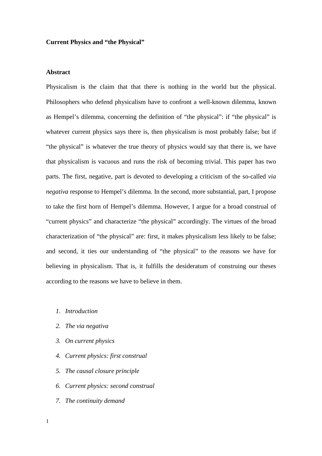# **Current Physics and "the Physical"**

### **Abstract**

Physicalism is the claim that that there is nothing in the world but the physical. Philosophers who defend physicalism have to confront a well-known dilemma, known as Hempel's dilemma, concerning the definition of "the physical": if "the physical" is whatever current physics says there is, then physicalism is most probably false; but if "the physical" is whatever the true theory of physics would say that there is, we have that physicalism is vacuous and runs the risk of becoming trivial. This paper has two parts. The first, negative, part is devoted to developing a criticism of the so-called *via negativa* response to Hempel's dilemma. In the second, more substantial, part, I propose to take the first horn of Hempel's dilemma. However, I argue for a broad construal of "current physics" and characterize "the physical" accordingly. The virtues of the broad characterization of "the physical" are: first, it makes physicalism less likely to be false; and second, it ties our understanding of "the physical" to the reasons we have for believing in physicalism. That is, it fulfills the desideratum of construing our theses according to the reasons we have to believe in them.

- *1. Introduction*
- *2. The via negativa*
- *3. On current physics*
- *4. Current physics: first construal*
- *5. The causal closure principle*
- *6. Current physics: second construal*
- *7. The continuity demand*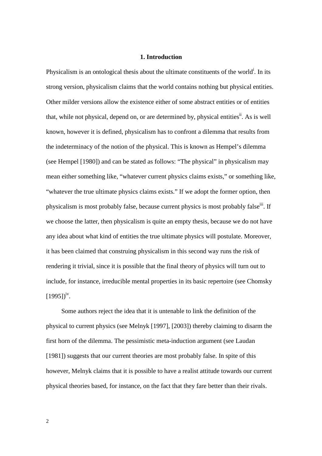# **1. Introduction**

Physicalism is an ontological thesis about the ultimate constituents of the world<sup>i</sup>. In its strong version, physicalism claims that the world contains nothing but physical entities. Other milder versions allow the existence either of some abstract entities or of entities that, while not physical, depend on, or are determined by, physical entities<sup>ii</sup>. As is well known, however it is defined, physicalism has to confront a dilemma that results from the indeterminacy of the notion of the physical. This is known as Hempel's dilemma (see Hempel [1980]) and can be stated as follows: "The physical" in physicalism may mean either something like, "whatever current physics claims exists," or something like, "whatever the true ultimate physics claims exists." If we adopt the former option, then physicalism is most probably false, because current physics is most probably false<sup>iii</sup>. If we choose the latter, then physicalism is quite an empty thesis, because we do not have any idea about what kind of entities the true ultimate physics will postulate. Moreover, it has been claimed that construing physicalism in this second way runs the risk of rendering it trivial, since it is possible that the final theory of physics will turn out to include, for instance, irreducible mental properties in its basic repertoire (see Chomsky  $[1995]$ <sup>jv</sup>.

Some authors reject the idea that it is untenable to link the definition of the physical to current physics (see Melnyk [1997], [2003]) thereby claiming to disarm the first horn of the dilemma. The pessimistic meta-induction argument (see Laudan [1981]) suggests that our current theories are most probably false. In spite of this however, Melnyk claims that it is possible to have a realist attitude towards our current physical theories based, for instance, on the fact that they fare better than their rivals.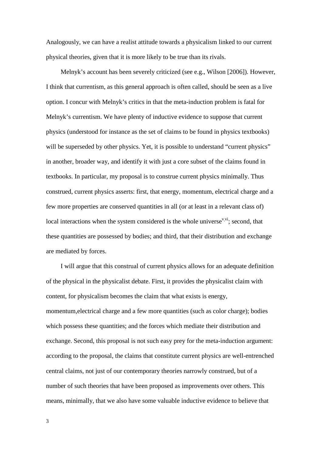Analogously, we can have a realist attitude towards a physicalism linked to our current physical theories, given that it is more likely to be true than its rivals.

Melnyk's account has been severely criticized (see e.g., Wilson [2006]). However, I think that currentism, as this general approach is often called, should be seen as a live option. I concur with Melnyk's critics in that the meta-induction problem is fatal for Melnyk's currentism. We have plenty of inductive evidence to suppose that current physics (understood for instance as the set of claims to be found in physics textbooks) will be superseded by other physics. Yet, it is possible to understand "current physics" in another, broader way, and identify it with just a core subset of the claims found in textbooks. In particular, my proposal is to construe current physics minimally. Thus construed, current physics asserts: first, that energy, momentum, electrical charge and a few more properties are conserved quantities in all (or at least in a relevant class of) local interactions when the system considered is the whole universe  $y_i$ , second, that these quantities are possessed by bodies; and third, that their distribution and exchange are mediated by forces.

I will argue that this construal of current physics allows for an adequate definition of the physical in the physicalist debate. First, it provides the physicalist claim with content, for physicalism becomes the claim that what exists is energy, momentum,electrical charge and a few more quantities (such as color charge); bodies which possess these quantities; and the forces which mediate their distribution and exchange. Second, this proposal is not such easy prey for the meta-induction argument: according to the proposal, the claims that constitute current physics are well-entrenched central claims, not just of our contemporary theories narrowly construed, but of a number of such theories that have been proposed as improvements over others. This means, minimally, that we also have some valuable inductive evidence to believe that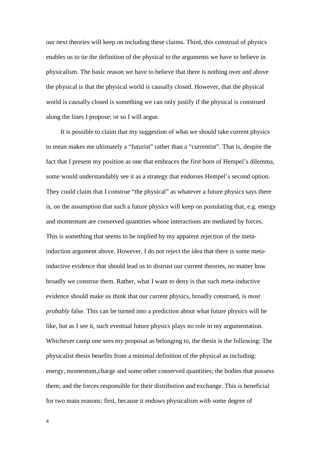our next theories will keep on including these claims. Third, this construal of physics enables us to tie the definition of the physical to the arguments we have to believe in physicalism. The basic reason we have to believe that there is nothing over and above the physical is that the physical world is causally closed. However, that the physical world is causally closed is something we can only justify if the physical is construed along the lines I propose; or so I will argue.

It is possible to claim that my suggestion of what we should take current physics to mean makes me ultimately a "futurist" rather than a "currentist". That is, despite the fact that I present my position as one that embraces the first horn of Hempel's dilemma, some would understandably see it as a strategy that endorses Hempel's second option. They could claim that I construe "the physical" as whatever a future physics says there is, on the assumption that such a future physics will keep on postulating that, e.g. energy and momentum are conserved quantities whose interactions are mediated by forces. This is something that seems to be implied by my apparent rejection of the metainduction argument above. However, I do not reject the idea that there is some metainductive evidence that should lead us to distrust our current theories, no matter how broadly we construe them. Rather, what I want to deny is that such meta-inductive evidence should make us think that our current physics, broadly construed, is *most probably* false. This can be turned into a prediction about what future physics will be like, but as I see it, such eventual future physics plays no role in my argumentation. Whichever camp one sees my proposal as belonging to, the thesis is the following: The physicalist thesis benefits from a minimal definition of the physical as including: energy, momentum,charge and some other conserved quantities; the bodies that possess them; and the forces responsible for their distribution and exchange. This is beneficial for two main reasons: first, because it endows physicalism with some degree of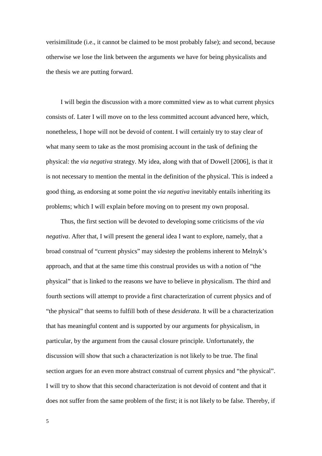verisimilitude (i.e., it cannot be claimed to be most probably false); and second, because otherwise we lose the link between the arguments we have for being physicalists and the thesis we are putting forward.

I will begin the discussion with a more committed view as to what current physics consists of. Later I will move on to the less committed account advanced here, which, nonetheless, I hope will not be devoid of content. I will certainly try to stay clear of what many seem to take as the most promising account in the task of defining the physical: the *via negativa* strategy. My idea, along with that of Dowell [2006], is that it is not necessary to mention the mental in the definition of the physical. This is indeed a good thing, as endorsing at some point the *via negativa* inevitably entails inheriting its problems; which I will explain before moving on to present my own proposal.

Thus, the first section will be devoted to developing some criticisms of the *via negativa*. After that, I will present the general idea I want to explore, namely, that a broad construal of "current physics" may sidestep the problems inherent to Melnyk's approach, and that at the same time this construal provides us with a notion of "the physical" that is linked to the reasons we have to believe in physicalism. The third and fourth sections will attempt to provide a first characterization of current physics and of "the physical" that seems to fulfill both of these *desiderata*. It will be a characterization that has meaningful content and is supported by our arguments for physicalism, in particular, by the argument from the causal closure principle. Unfortunately, the discussion will show that such a characterization is not likely to be true. The final section argues for an even more abstract construal of current physics and "the physical". I will try to show that this second characterization is not devoid of content and that it does not suffer from the same problem of the first; it is not likely to be false. Thereby, if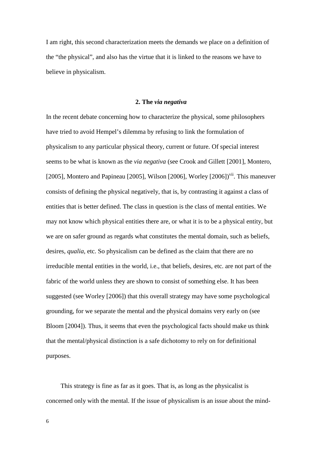I am right, this second characterization meets the demands we place on a definition of the "the physical", and also has the virtue that it is linked to the reasons we have to believe in physicalism.

#### **2. The** *via negativa*

In the recent debate concerning how to characterize the physical, some philosophers have tried to avoid Hempel's dilemma by refusing to link the formulation of physicalism to any particular physical theory, current or future. Of special interest seems to be what is known as the *via negativa* (see Crook and Gillett [2001], Montero, [2005], Montero and Papineau [2005], Wilson [2006], Worley [2006])<sup>vii</sup>. This maneuver consists of defining the physical negatively, that is, by contrasting it against a class of entities that is better defined. The class in question is the class of mental entities. We may not know which physical entities there are, or what it is to be a physical entity, but we are on safer ground as regards what constitutes the mental domain, such as beliefs, desires, *qualia*, etc. So physicalism can be defined as the claim that there are no irreducible mental entities in the world, i.e., that beliefs, desires, etc. are not part of the fabric of the world unless they are shown to consist of something else. It has been suggested (see Worley [2006]) that this overall strategy may have some psychological grounding, for we separate the mental and the physical domains very early on (see Bloom [2004]). Thus, it seems that even the psychological facts should make us think that the mental/physical distinction is a safe dichotomy to rely on for definitional purposes.

This strategy is fine as far as it goes. That is, as long as the physicalist is concerned only with the mental. If the issue of physicalism is an issue about the mind-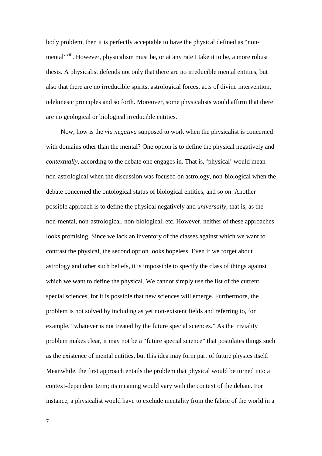body problem, then it is perfectly acceptable to have the physical defined as "nonmental<sup>"viii</sup>. However, physicalism must be, or at any rate I take it to be, a more robust thesis. A physicalist defends not only that there are no irreducible mental entities, but also that there are no irreducible spirits, astrological forces, acts of divine intervention, telekinesic principles and so forth. Moreover, some physicalists would affirm that there are no geological or biological irreducible entities.

Now, how is the *via negativa* supposed to work when the physicalist is concerned with domains other than the mental? One option is to define the physical negatively and *contextually*, according to the debate one engages in. That is, 'physical' would mean non-astrological when the discussion was focused on astrology, non-biological when the debate concerned the ontological status of biological entities, and so on. Another possible approach is to define the physical negatively and *universally*, that is, as the non-mental, non-astrological, non-biological, etc. However, neither of these approaches looks promising. Since we lack an inventory of the classes against which we want to contrast the physical, the second option looks hopeless. Even if we forget about astrology and other such beliefs, it is impossible to specify the class of things against which we want to define the physical. We cannot simply use the list of the current special sciences, for it is possible that new sciences will emerge. Furthermore, the problem is not solved by including as yet non-existent fields and referring to, for example, "whatever is not treated by the future special sciences." As the triviality problem makes clear, it may not be a "future special science" that postulates things such as the existence of mental entities, but this idea may form part of future physics itself. Meanwhile, the first approach entails the problem that physical would be turned into a context-dependent term; its meaning would vary with the context of the debate. For instance, a physicalist would have to exclude mentality from the fabric of the world in a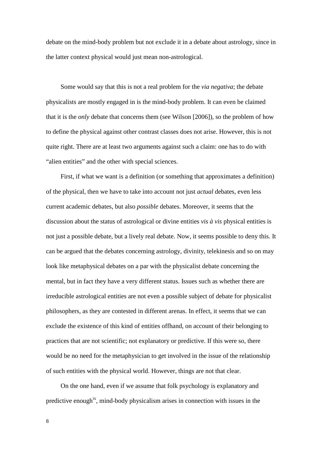debate on the mind-body problem but not exclude it in a debate about astrology, since in the latter context physical would just mean non-astrological.

Some would say that this is not a real problem for the *via negativa*; the debate physicalists are mostly engaged in is the mind-body problem. It can even be claimed that it is the *only* debate that concerns them (see Wilson [2006]), so the problem of how to define the physical against other contrast classes does not arise. However, this is not quite right. There are at least two arguments against such a claim: one has to do with "alien entities" and the other with special sciences.

First, if what we want is a definition (or something that approximates a definition) of the physical, then we have to take into account not just *actual* debates, even less current academic debates, but also *possible* debates. Moreover, it seems that the discussion about the status of astrological or divine entities *vis à vis* physical entities is not just a possible debate, but a lively real debate. Now, it seems possible to deny this. It can be argued that the debates concerning astrology, divinity, telekinesis and so on may look like metaphysical debates on a par with the physicalist debate concerning the mental, but in fact they have a very different status. Issues such as whether there are irreducible astrological entities are not even a possible subject of debate for physicalist philosophers, as they are contested in different arenas. In effect, it seems that we can exclude the existence of this kind of entities offhand, on account of their belonging to practices that are not scientific; not explanatory or predictive. If this were so, there would be no need for the metaphysician to get involved in the issue of the relationship of such entities with the physical world. However, things are not that clear.

On the one hand, even if we assume that folk psychology is explanatory and predictive enough<sup>ix</sup>, mind-body physicalism arises in connection with issues in the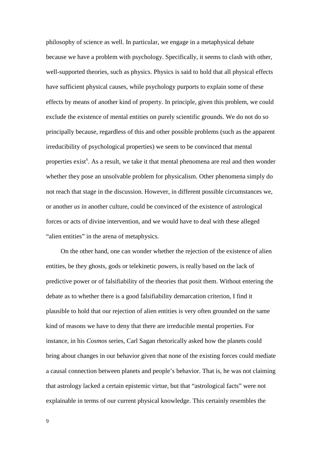philosophy of science as well. In particular, we engage in a metaphysical debate because we have a problem with psychology. Specifically, it seems to clash with other, well-supported theories, such as physics. Physics is said to hold that all physical effects have sufficient physical causes, while psychology purports to explain some of these effects by means of another kind of property. In principle, given this problem, we could exclude the existence of mental entities on purely scientific grounds. We do not do so principally because, regardless of this and other possible problems (such as the apparent irreducibility of psychological properties) we seem to be convinced that mental properties exist<sup>x</sup>. As a result, we take it that mental phenomena are real and then wonder whether they pose an unsolvable problem for physicalism. Other phenomena simply do not reach that stage in the discussion. However, in different possible circumstances we, or another *us* in another culture, could be convinced of the existence of astrological forces or acts of divine intervention, and we would have to deal with these alleged "alien entities" in the arena of metaphysics.

On the other hand, one can wonder whether the rejection of the existence of alien entities, be they ghosts, gods or telekinetic powers, is really based on the lack of predictive power or of falsifiability of the theories that posit them. Without entering the debate as to whether there is a good falsifiability demarcation criterion, I find it plausible to hold that our rejection of alien entities is very often grounded on the same kind of reasons we have to deny that there are irreducible mental properties. For instance, in his *Cosmos* series, Carl Sagan rhetorically asked how the planets could bring about changes in our behavior given that none of the existing forces could mediate a causal connection between planets and people's behavior. That is, he was not claiming that astrology lacked a certain epistemic virtue, but that "astrological facts" were not explainable in terms of our current physical knowledge. This certainly resembles the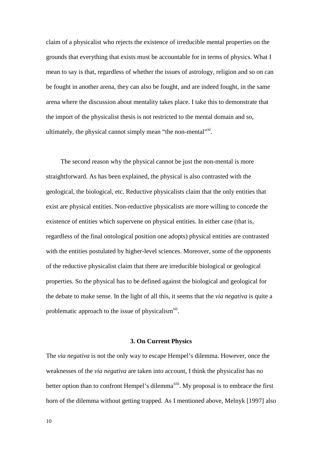claim of a physicalist who rejects the existence of irreducible mental properties on the grounds that everything that exists must be accountable for in terms of physics. What I mean to say is that, regardless of whether the issues of astrology, religion and so on can be fought in another arena, they can also be fought, and are indeed fought, in the same arena where the discussion about mentality takes place. I take this to demonstrate that the import of the physicalist thesis is not restricted to the mental domain and so, ultimately, the physical cannot simply mean "the non-mental"<sup>xi</sup>.

The second reason why the physical cannot be just the non-mental is more straightforward. As has been explained, the physical is also contrasted with the geological, the biological, etc. Reductive physicalists claim that the only entities that exist are physical entities. Non-reductive physicalists are more willing to concede the existence of entities which supervene on physical entities. In either case (that is, regardless of the final ontological position one adopts) physical entities are contrasted with the entities postulated by higher-level sciences. Moreover, some of the opponents of the reductive physicalist claim that there are irreducible biological or geological properties. So the physical has to be defined against the biological and geological for the debate to make sense. In the light of all this, it seems that the *via negativa* is quite a problematic approach to the issue of physicalism<sup>xii</sup>.

### **3. On Current Physics**

The *via negativa* is not the only way to escape Hempel's dilemma. However, once the weaknesses of the *via negativa* are taken into account, I think the physicalist has no better option than to confront Hempel's dilemma<sup>xiii</sup>. My proposal is to embrace the first horn of the dilemma without getting trapped. As I mentioned above, Melnyk [1997] also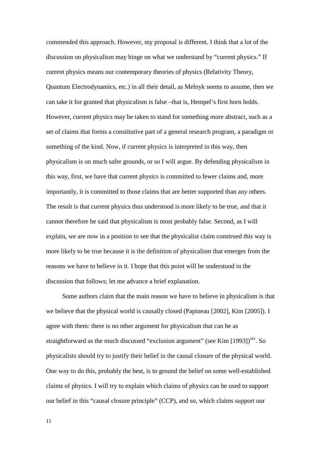commended this approach. However, my proposal is different. I think that a lot of the discussion on physicalism may hinge on what we understand by "current physics." If current physics means our contemporary theories of physics (Relativity Theory, Quantum Electrodynamics, etc.) in all their detail, as Melnyk seems to assume, then we can take it for granted that physicalism is false –that is, Hempel's first horn holds. However, current physics may be taken to stand for something more abstract, such as a set of claims that forms a constitutive part of a general research program, a paradigm or something of the kind. Now, if current physics is interpreted in this way, then physicalism is on much safer grounds, or so I will argue. By defending physicalism in this way, first, we have that current physics is committed to fewer claims and, more importantly, it is committed to those claims that are better supported than any others. The result is that current physics thus understood is more likely to be true, and that it cannot therefore be said that physicalism is most probably false. Second, as I will explain, we are now in a position to see that the physicalist claim construed this way is more likely to be true because it is the definition of physicalism that emerges from the reasons we have to believe in it. I hope that this point will be understood in the discussion that follows; let me advance a brief explanation.

 Some authors claim that the main reason we have to believe in physicalism is that we believe that the physical world is causally closed (Papineau [2002], Kim [2005]). I agree with them: there is no other argument for physicalism that can be as straightforward as the much discussed "exclusion argument" (see Kim  $[1993]$ <sup>xiv</sup>. So physicalists should try to justify their belief in the causal closure of the physical world. One way to do this, probably the best, is to ground the belief on some well-established claims of physics. I will try to explain which claims of physics can be used to support our belief in this "causal closure principle" (CCP), and so, which claims support our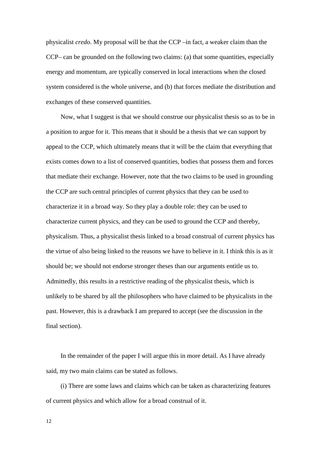physicalist *credo*. My proposal will be that the CCP –in fact, a weaker claim than the CCP– can be grounded on the following two claims: (a) that some quantities, especially energy and momentum, are typically conserved in local interactions when the closed system considered is the whole universe, and (b) that forces mediate the distribution and exchanges of these conserved quantities.

Now, what I suggest is that we should construe our physicalist thesis so as to be in a position to argue for it. This means that it should be a thesis that we can support by appeal to the CCP, which ultimately means that it will be the claim that everything that exists comes down to a list of conserved quantities, bodies that possess them and forces that mediate their exchange. However, note that the two claims to be used in grounding the CCP are such central principles of current physics that they can be used to characterize it in a broad way. So they play a double role: they can be used to characterize current physics, and they can be used to ground the CCP and thereby, physicalism. Thus, a physicalist thesis linked to a broad construal of current physics has the virtue of also being linked to the reasons we have to believe in it. I think this is as it should be; we should not endorse stronger theses than our arguments entitle us to. Admittedly, this results in a restrictive reading of the physicalist thesis, which is unlikely to be shared by all the philosophers who have claimed to be physicalists in the past. However, this is a drawback I am prepared to accept (see the discussion in the final section).

In the remainder of the paper I will argue this in more detail. As I have already said, my two main claims can be stated as follows.

(i) There are some laws and claims which can be taken as characterizing features of current physics and which allow for a broad construal of it.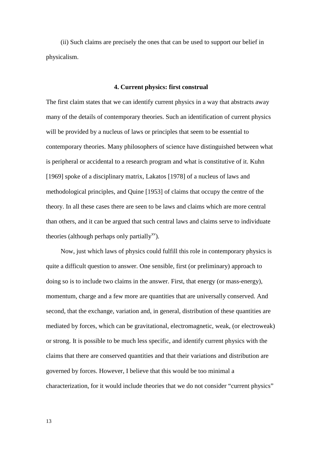(ii) Such claims are precisely the ones that can be used to support our belief in physicalism.

# **4. Current physics: first construal**

The first claim states that we can identify current physics in a way that abstracts away many of the details of contemporary theories. Such an identification of current physics will be provided by a nucleus of laws or principles that seem to be essential to contemporary theories. Many philosophers of science have distinguished between what is peripheral or accidental to a research program and what is constitutive of it. Kuhn [1969] spoke of a disciplinary matrix, Lakatos [1978] of a nucleus of laws and methodological principles, and Quine [1953] of claims that occupy the centre of the theory. In all these cases there are seen to be laws and claims which are more central than others, and it can be argued that such central laws and claims serve to individuate theories (although perhaps only partially  $x<sup>y</sup>$ ).

Now, just which laws of physics could fulfill this role in contemporary physics is quite a difficult question to answer. One sensible, first (or preliminary) approach to doing so is to include two claims in the answer. First, that energy (or mass-energy), momentum, charge and a few more are quantities that are universally conserved. And second, that the exchange, variation and, in general, distribution of these quantities are mediated by forces, which can be gravitational, electromagnetic, weak, (or electroweak) or strong. It is possible to be much less specific, and identify current physics with the claims that there are conserved quantities and that their variations and distribution are governed by forces. However, I believe that this would be too minimal a characterization, for it would include theories that we do not consider "current physics"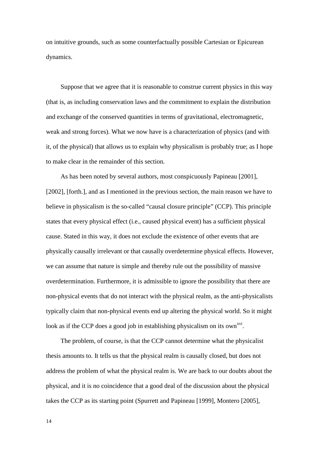on intuitive grounds, such as some counterfactually possible Cartesian or Epicurean dynamics.

Suppose that we agree that it is reasonable to construe current physics in this way (that is, as including conservation laws and the commitment to explain the distribution and exchange of the conserved quantities in terms of gravitational, electromagnetic, weak and strong forces). What we now have is a characterization of physics (and with it, of the physical) that allows us to explain why physicalism is probably true; as I hope to make clear in the remainder of this section.

As has been noted by several authors, most conspicuously Papineau [2001], [2002], [forth.], and as I mentioned in the previous section, the main reason we have to believe in physicalism is the so-called "causal closure principle" (CCP). This principle states that every physical effect (i.e., caused physical event) has a sufficient physical cause. Stated in this way, it does not exclude the existence of other events that are physically causally irrelevant or that causally overdetermine physical effects. However, we can assume that nature is simple and thereby rule out the possibility of massive overdetermination. Furthermore, it is admissible to ignore the possibility that there are non-physical events that do not interact with the physical realm, as the anti-physicalists typically claim that non-physical events end up altering the physical world. So it might look as if the CCP does a good job in establishing physicalism on its own<sup>xvi</sup>.

The problem, of course, is that the CCP cannot determine what the physicalist thesis amounts to. It tells us that the physical realm is causally closed, but does not address the problem of what the physical realm is. We are back to our doubts about the physical, and it is no coincidence that a good deal of the discussion about the physical takes the CCP as its starting point (Spurrett and Papineau [1999], Montero [2005],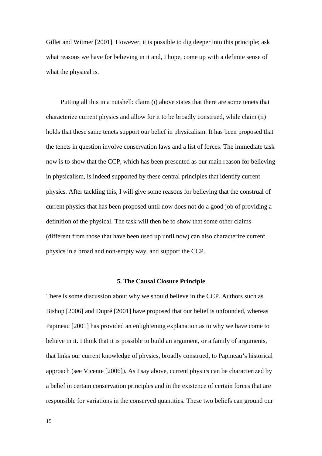Gillet and Witmer [2001]. However, it is possible to dig deeper into this principle; ask what reasons we have for believing in it and, I hope, come up with a definite sense of what the physical is.

Putting all this in a nutshell: claim (i) above states that there are some tenets that characterize current physics and allow for it to be broadly construed, while claim (ii) holds that these same tenets support our belief in physicalism. It has been proposed that the tenets in question involve conservation laws and a list of forces. The immediate task now is to show that the CCP, which has been presented as our main reason for believing in physicalism, is indeed supported by these central principles that identify current physics. After tackling this, I will give some reasons for believing that the construal of current physics that has been proposed until now does not do a good job of providing a definition of the physical. The task will then be to show that some other claims (different from those that have been used up until now) can also characterize current physics in a broad and non-empty way, and support the CCP.

### **5. The Causal Closure Principle**

There is some discussion about why we should believe in the CCP. Authors such as Bishop [2006] and Dupré [2001] have proposed that our belief is unfounded, whereas Papineau [2001] has provided an enlightening explanation as to why we have come to believe in it. I think that it is possible to build an argument, or a family of arguments, that links our current knowledge of physics, broadly construed, to Papineau's historical approach (see Vicente [2006]). As I say above, current physics can be characterized by a belief in certain conservation principles and in the existence of certain forces that are responsible for variations in the conserved quantities. These two beliefs can ground our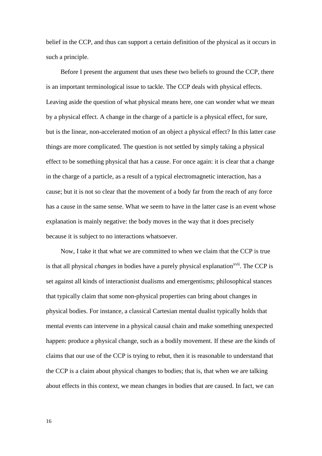belief in the CCP, and thus can support a certain definition of the physical as it occurs in such a principle.

Before I present the argument that uses these two beliefs to ground the CCP, there is an important terminological issue to tackle. The CCP deals with physical effects. Leaving aside the question of what physical means here, one can wonder what we mean by a physical effect. A change in the charge of a particle is a physical effect, for sure, but is the linear, non-accelerated motion of an object a physical effect? In this latter case things are more complicated. The question is not settled by simply taking a physical effect to be something physical that has a cause. For once again: it is clear that a change in the charge of a particle, as a result of a typical electromagnetic interaction, has a cause; but it is not so clear that the movement of a body far from the reach of any force has a cause in the same sense. What we seem to have in the latter case is an event whose explanation is mainly negative: the body moves in the way that it does precisely because it is subject to no interactions whatsoever.

Now, I take it that what we are committed to when we claim that the CCP is true is that all physical *changes* in bodies have a purely physical explanation<sup>xvii</sup>. The CCP is set against all kinds of interactionist dualisms and emergentisms; philosophical stances that typically claim that some non-physical properties can bring about changes in physical bodies. For instance, a classical Cartesian mental dualist typically holds that mental events can intervene in a physical causal chain and make something unexpected happen: produce a physical change, such as a bodily movement. If these are the kinds of claims that our use of the CCP is trying to rebut, then it is reasonable to understand that the CCP is a claim about physical changes to bodies; that is, that when we are talking about effects in this context, we mean changes in bodies that are caused. In fact, we can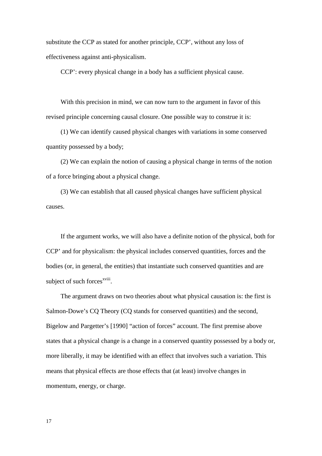substitute the CCP as stated for another principle, CCP', without any loss of effectiveness against anti-physicalism.

CCP': every physical change in a body has a sufficient physical cause.

With this precision in mind, we can now turn to the argument in favor of this revised principle concerning causal closure. One possible way to construe it is:

(1) We can identify caused physical changes with variations in some conserved quantity possessed by a body;

(2) We can explain the notion of causing a physical change in terms of the notion of a force bringing about a physical change.

(3) We can establish that all caused physical changes have sufficient physical causes.

If the argument works, we will also have a definite notion of the physical, both for CCP' and for physicalism: the physical includes conserved quantities, forces and the bodies (or, in general, the entities) that instantiate such conserved quantities and are subject of such forces<sup>xviii</sup>.

The argument draws on two theories about what physical causation is: the first is Salmon-Dowe's CQ Theory (CQ stands for conserved quantities) and the second, Bigelow and Pargetter's [1990] "action of forces" account. The first premise above states that a physical change is a change in a conserved quantity possessed by a body or, more liberally, it may be identified with an effect that involves such a variation. This means that physical effects are those effects that (at least) involve changes in momentum, energy, or charge.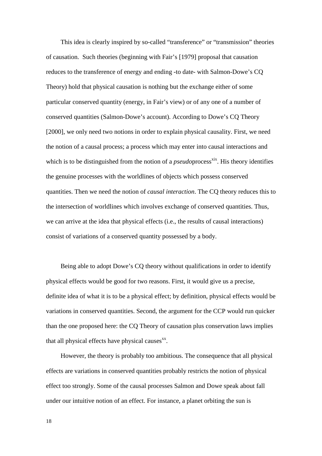This idea is clearly inspired by so-called "transference" or "transmission" theories of causation. Such theories (beginning with Fair's [1979] proposal that causation reduces to the transference of energy and ending -to date- with Salmon-Dowe's CQ Theory) hold that physical causation is nothing but the exchange either of some particular conserved quantity (energy, in Fair's view) or of any one of a number of conserved quantities (Salmon-Dowe's account). According to Dowe's CQ Theory [2000], we only need two notions in order to explain physical causality. First, we need the notion of a causal process; a process which may enter into causal interactions and which is to be distinguished from the notion of a *pseudorrocess*<sup>xix</sup>. His theory identifies the genuine processes with the worldlines of objects which possess conserved quantities. Then we need the notion of *causal interaction*. The CQ theory reduces this to the intersection of worldlines which involves exchange of conserved quantities. Thus, we can arrive at the idea that physical effects (i.e., the results of causal interactions) consist of variations of a conserved quantity possessed by a body.

Being able to adopt Dowe's CQ theory without qualifications in order to identify physical effects would be good for two reasons. First, it would give us a precise, definite idea of what it is to be a physical effect; by definition, physical effects would be variations in conserved quantities. Second, the argument for the CCP would run quicker than the one proposed here: the CQ Theory of causation plus conservation laws implies that all physical effects have physical causes $<sup>xx</sup>$ .</sup>

However, the theory is probably too ambitious. The consequence that all physical effects are variations in conserved quantities probably restricts the notion of physical effect too strongly. Some of the causal processes Salmon and Dowe speak about fall under our intuitive notion of an effect. For instance, a planet orbiting the sun is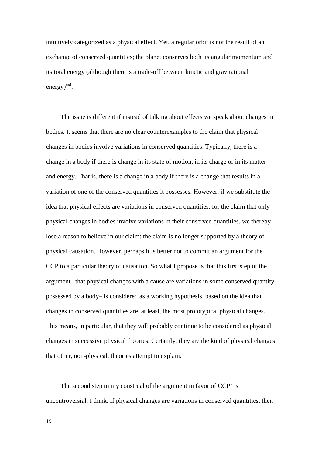intuitively categorized as a physical effect. Yet, a regular orbit is not the result of an exchange of conserved quantities; the planet conserves both its angular momentum and its total energy (although there is a trade-off between kinetic and gravitational energy) $^{xxi}$ .

The issue is different if instead of talking about effects we speak about changes in bodies. It seems that there are no clear counterexamples to the claim that physical changes in bodies involve variations in conserved quantities. Typically, there is a change in a body if there is change in its state of motion, in its charge or in its matter and energy. That is, there is a change in a body if there is a change that results in a variation of one of the conserved quantities it possesses. However, if we substitute the idea that physical effects are variations in conserved quantities, for the claim that only physical changes in bodies involve variations in their conserved quantities, we thereby lose a reason to believe in our claim: the claim is no longer supported by a theory of physical causation. However, perhaps it is better not to commit an argument for the CCP to a particular theory of causation. So what I propose is that this first step of the argument –that physical changes with a cause are variations in some conserved quantity possessed by a body– is considered as a working hypothesis, based on the idea that changes in conserved quantities are, at least, the most prototypical physical changes. This means, in particular, that they will probably continue to be considered as physical changes in successive physical theories. Certainly, they are the kind of physical changes that other, non-physical, theories attempt to explain.

The second step in my construal of the argument in favor of CCP' is uncontroversial, I think. If physical changes are variations in conserved quantities, then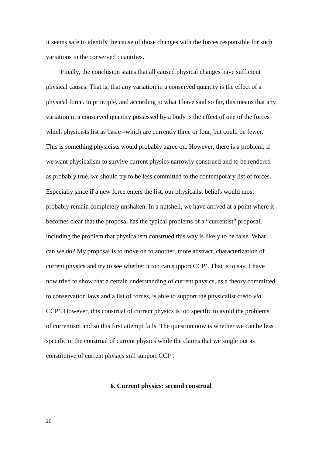it seems safe to identify the cause of those changes with the forces responsible for such variations in the conserved quantities.

Finally, the conclusion states that all caused physical changes have sufficient physical causes. That is, that any variation in a conserved quantity is the effect of a physical force. In principle, and according to what I have said so far, this means that any variation in a conserved quantity possessed by a body is the effect of one of the forces which physicists list as basic –which are currently three or four, but could be fewer. This is something physicists would probably agree on. However, there is a problem: if we want physicalism to survive current physics narrowly construed and to be rendered as probably true, we should try to be less committed to the contemporary list of forces. Especially since if a new force enters the list, our physicalist beliefs would most probably remain completely unshaken. In a nutshell, we have arrived at a point where it becomes clear that the proposal has the typical problems of a "currentist" proposal, including the problem that physicalism construed this way is likely to be false. What can we do? My proposal is to move on to another, more abstract, characterization of current physics and try to see whether it too can support CCP'. That is to say, I have now tried to show that a certain understanding of current physics, as a theory committed to conservation laws and a list of forces, is able to support the physicalist credo *via*  CCP'. However, this construal of current physics is too specific to avoid the problems of currentism and so this first attempt fails. The question now is whether we can be less specific in the construal of current physics while the claims that we single out as constitutive of current physics still support CCP'.

# **6. Current physics: second construal**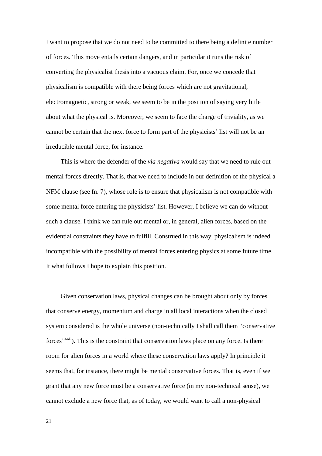I want to propose that we do not need to be committed to there being a definite number of forces. This move entails certain dangers, and in particular it runs the risk of converting the physicalist thesis into a vacuous claim. For, once we concede that physicalism is compatible with there being forces which are not gravitational, electromagnetic, strong or weak, we seem to be in the position of saying very little about what the physical is. Moreover, we seem to face the charge of triviality, as we cannot be certain that the next force to form part of the physicists' list will not be an irreducible mental force, for instance.

This is where the defender of the *via negativa* would say that we need to rule out mental forces directly. That is, that we need to include in our definition of the physical a NFM clause (see fn. 7), whose role is to ensure that physicalism is not compatible with some mental force entering the physicists' list. However, I believe we can do without such a clause. I think we can rule out mental or, in general, alien forces, based on the evidential constraints they have to fulfill. Construed in this way, physicalism is indeed incompatible with the possibility of mental forces entering physics at some future time. It what follows I hope to explain this position.

Given conservation laws, physical changes can be brought about only by forces that conserve energy, momentum and charge in all local interactions when the closed system considered is the whole universe (non-technically I shall call them "conservative forces<sup>"xxii</sup>). This is the constraint that conservation laws place on any force. Is there room for alien forces in a world where these conservation laws apply? In principle it seems that, for instance, there might be mental conservative forces. That is, even if we grant that any new force must be a conservative force (in my non-technical sense), we cannot exclude a new force that, as of today, we would want to call a non-physical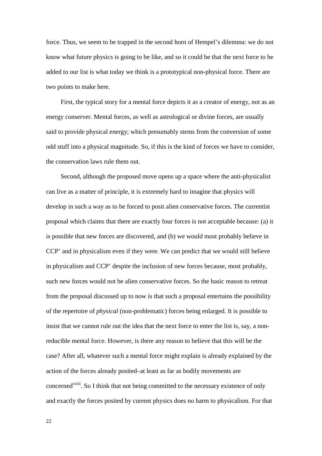force. Thus, we seem to be trapped in the second horn of Hempel's dilemma: we do not know what future physics is going to be like, and so it could be that the next force to be added to our list is what today we think is a prototypical non-physical force. There are two points to make here.

First, the typical story for a mental force depicts it as a creator of energy, not as an energy conserver. Mental forces, as well as astrological or divine forces, are usually said to provide physical energy; which presumably stems from the conversion of some odd stuff into a physical magnitude. So, if this is the kind of forces we have to consider, the conservation laws rule them out.

Second, although the proposed move opens up a space where the anti-physicalist can live as a matter of principle, it is extremely hard to imagine that physics will develop in such a way as to be forced to posit alien conservative forces. The currentist proposal which claims that there are exactly four forces is not acceptable because: (a) it is possible that new forces are discovered, and (b) we would most probably believe in CCP' and in physicalism even if they were. We can predict that we would still believe in physicalism and CCP' despite the inclusion of new forces because, most probably, such new forces would not be alien conservative forces. So the basic reason to retreat from the proposal discussed up to now is that such a proposal entertains the possibility of the repertoire of *physical* (non-problematic) forces being enlarged. It is possible to insist that we cannot rule out the idea that the next force to enter the list is, say, a nonreducible mental force. However, is there any reason to believe that this will be the case? After all, whatever such a mental force might explain is already explained by the action of the forces already posited–at least as far as bodily movements are concerned<sup>xxiii</sup>. So I think that not being committed to the necessary existence of only and exactly the forces posited by current physics does no harm to physicalism. For that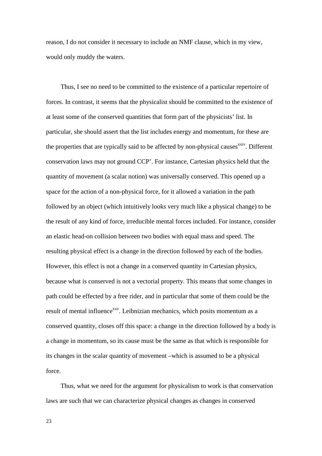reason, I do not consider it necessary to include an NMF clause, which in my view, would only muddy the waters.

Thus, I see no need to be committed to the existence of a particular repertoire of forces. In contrast, it seems that the physicalist should be committed to the existence of at least some of the conserved quantities that form part of the physicists' list. In particular, she should assert that the list includes energy and momentum, for these are the properties that are typically said to be affected by non-physical causes<sup>xxiv</sup>. Different conservation laws may not ground CCP'. For instance, Cartesian physics held that the quantity of movement (a scalar notion) was universally conserved. This opened up a space for the action of a non-physical force, for it allowed a variation in the path followed by an object (which intuitively looks very much like a physical change) to be the result of any kind of force, irreducible mental forces included. For instance, consider an elastic head-on collision between two bodies with equal mass and speed. The resulting physical effect is a change in the direction followed by each of the bodies. However, this effect is not a change in a conserved quantity in Cartesian physics, because what is conserved is not a vectorial property. This means that some changes in path could be effected by a free rider, and in particular that some of them could be the result of mental influence<sup>xxv</sup>. Leibnizian mechanics, which posits momentum as a conserved quantity, closes off this space: a change in the direction followed by a body is a change in momentum, so its cause must be the same as that which is responsible for its changes in the scalar quantity of movement –which is assumed to be a physical force.

Thus, what we need for the argument for physicalism to work is that conservation laws are such that we can characterize physical changes as changes in conserved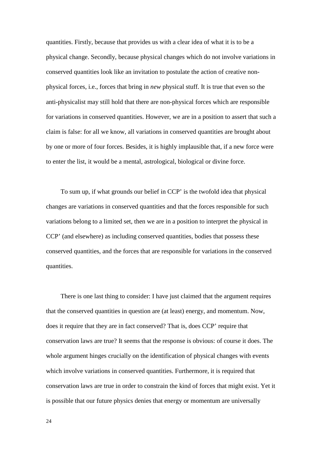quantities. Firstly, because that provides us with a clear idea of what it is to be a physical change. Secondly, because physical changes which do not involve variations in conserved quantities look like an invitation to postulate the action of creative nonphysical forces, i.e., forces that bring in *new* physical stuff. It is true that even so the anti-physicalist may still hold that there are non-physical forces which are responsible for variations in conserved quantities. However, we are in a position to assert that such a claim is false: for all we know, all variations in conserved quantities are brought about by one or more of four forces. Besides, it is highly implausible that, if a new force were to enter the list, it would be a mental, astrological, biological or divine force.

To sum up, if what grounds our belief in CCP' is the twofold idea that physical changes are variations in conserved quantities and that the forces responsible for such variations belong to a limited set, then we are in a position to interpret the physical in CCP' (and elsewhere) as including conserved quantities, bodies that possess these conserved quantities, and the forces that are responsible for variations in the conserved quantities.

There is one last thing to consider: I have just claimed that the argument requires that the conserved quantities in question are (at least) energy, and momentum. Now, does it require that they are in fact conserved? That is, does CCP' require that conservation laws are true? It seems that the response is obvious: of course it does. The whole argument hinges crucially on the identification of physical changes with events which involve variations in conserved quantities. Furthermore, it is required that conservation laws are true in order to constrain the kind of forces that might exist. Yet it is possible that our future physics denies that energy or momentum are universally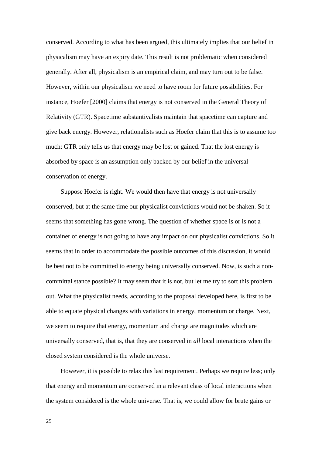conserved. According to what has been argued, this ultimately implies that our belief in physicalism may have an expiry date. This result is not problematic when considered generally. After all, physicalism is an empirical claim, and may turn out to be false. However, within our physicalism we need to have room for future possibilities. For instance, Hoefer [2000] claims that energy is not conserved in the General Theory of Relativity (GTR). Spacetime substantivalists maintain that spacetime can capture and give back energy. However, relationalists such as Hoefer claim that this is to assume too much: GTR only tells us that energy may be lost or gained. That the lost energy is absorbed by space is an assumption only backed by our belief in the universal conservation of energy.

Suppose Hoefer is right. We would then have that energy is not universally conserved, but at the same time our physicalist convictions would not be shaken. So it seems that something has gone wrong. The question of whether space is or is not a container of energy is not going to have any impact on our physicalist convictions. So it seems that in order to accommodate the possible outcomes of this discussion, it would be best not to be committed to energy being universally conserved. Now, is such a noncommittal stance possible? It may seem that it is not, but let me try to sort this problem out. What the physicalist needs, according to the proposal developed here, is first to be able to equate physical changes with variations in energy, momentum or charge. Next, we seem to require that energy, momentum and charge are magnitudes which are universally conserved, that is, that they are conserved in *all* local interactions when the closed system considered is the whole universe.

However, it is possible to relax this last requirement. Perhaps we require less; only that energy and momentum are conserved in a relevant class of local interactions when the system considered is the whole universe. That is, we could allow for brute gains or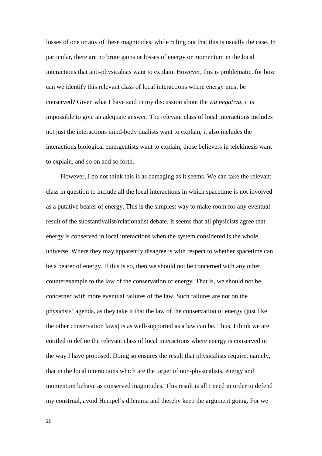losses of one or any of these magnitudes, while ruling out that this is usually the case. In particular, there are no brute gains or losses of energy or momentum in the local interactions that anti-physicalists want to explain. However, this is problematic, for how can we identify this relevant class of local interactions where energy must be conserved? Given what I have said in my discussion about the *via negativa*, it is impossible to give an adequate answer. The relevant class of local interactions includes not just the interactions mind-body dualists want to explain, it also includes the interactions biological emergentists want to explain, those believers in telekinesis want to explain, and so on and so forth.

However, I do not think this is as damaging as it seems. We can take the relevant class in question to include all the local interactions in which spacetime is not involved as a putative bearer of energy. This is the simplest way to make room for any eventual result of the substantivalist/relationalist debate. It seems that all physicists agree that energy is conserved in local interactions when the system considered is the whole universe. Where they may apparently disagree is with respect to whether spacetime can be a bearer of energy. If this is so, then we should not be concerned with any other counterexample to the law of the conservation of energy. That is, we should not be concerned with more eventual failures of the law. Such failures are not on the physicists' agenda, as they take it that the law of the conservation of energy (just like the other conservation laws) is as well-supported as a law can be. Thus, I think we are entitled to define the relevant class of local interactions where energy is conserved in the way I have proposed. Doing so ensures the result that physicalists require, namely, that in the local interactions which are the target of non-physicalists, energy and momentum behave as conserved magnitudes. This result is all I need in order to defend my construal, avoid Hempel's dilemma and thereby keep the argument going. For we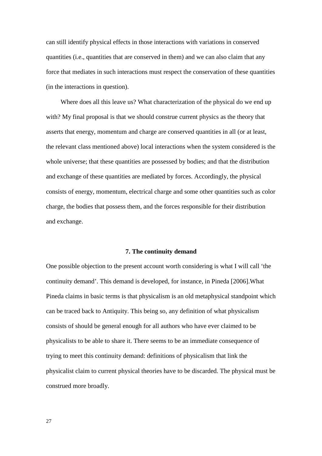can still identify physical effects in those interactions with variations in conserved quantities (i.e., quantities that are conserved in them) and we can also claim that any force that mediates in such interactions must respect the conservation of these quantities (in the interactions in question).

Where does all this leave us? What characterization of the physical do we end up with? My final proposal is that we should construe current physics as the theory that asserts that energy, momentum and charge are conserved quantities in all (or at least, the relevant class mentioned above) local interactions when the system considered is the whole universe; that these quantities are possessed by bodies; and that the distribution and exchange of these quantities are mediated by forces. Accordingly, the physical consists of energy, momentum, electrical charge and some other quantities such as color charge, the bodies that possess them, and the forces responsible for their distribution and exchange.

# **7. The continuity demand**

One possible objection to the present account worth considering is what I will call 'the continuity demand'. This demand is developed, for instance, in Pineda [2006].What Pineda claims in basic terms is that physicalism is an old metaphysical standpoint which can be traced back to Antiquity. This being so, any definition of what physicalism consists of should be general enough for all authors who have ever claimed to be physicalists to be able to share it. There seems to be an immediate consequence of trying to meet this continuity demand: definitions of physicalism that link the physicalist claim to current physical theories have to be discarded. The physical must be construed more broadly.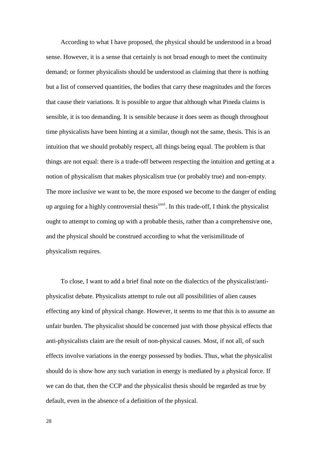According to what I have proposed, the physical should be understood in a broad sense. However, it is a sense that certainly is not broad enough to meet the continuity demand; or former physicalists should be understood as claiming that there is nothing but a list of conserved quantities, the bodies that carry these magnitudes and the forces that cause their variations. It is possible to argue that although what Pineda claims is sensible, it is too demanding. It is sensible because it does seem as though throughout time physicalists have been hinting at a similar, though not the same, thesis. This is an intuition that we should probably respect, all things being equal. The problem is that things are not equal: there is a trade-off between respecting the intuition and getting at a notion of physicalism that makes physicalism true (or probably true) and non-empty. The more inclusive we want to be, the more exposed we become to the danger of ending up arguing for a highly controversial thesis<sup> $xxvi$ </sup>. In this trade-off, I think the physicalist ought to attempt to coming up with a probable thesis, rather than a comprehensive one, and the physical should be construed according to what the verisimilitude of physicalism requires.

To close, I want to add a brief final note on the dialectics of the physicalist/antiphysicalist debate. Physicalists attempt to rule out all possibilities of alien causes effecting any kind of physical change. However, it seems to me that this is to assume an unfair burden. The physicalist should be concerned just with those physical effects that anti-physicalists claim are the result of non-physical causes. Most, if not all, of such effects involve variations in the energy possessed by bodies. Thus, what the physicalist should do is show how any such variation in energy is mediated by a physical force. If we can do that, then the CCP and the physicalist thesis should be regarded as true by default, even in the absence of a definition of the physical.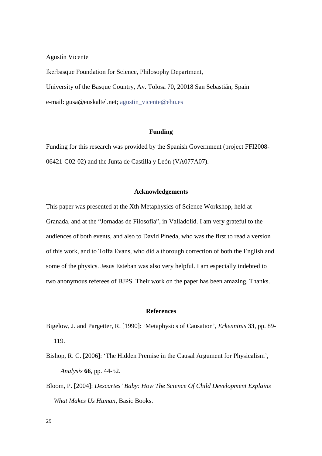Agustín Vicente

Ikerbasque Foundation for Science, Philosophy Department, University of the Basque Country, Av. Tolosa 70, 20018 San Sebastián, Spain e-mail: gusa@euskaltel.net; agustin\_vicente@ehu.es

## **Funding**

Funding for this research was provided by the Spanish Government (project FFI2008- 06421-C02-02) and the Junta de Castilla y León (VA077A07).

#### **Acknowledgements**

This paper was presented at the Xth Metaphysics of Science Workshop, held at Granada, and at the "Jornadas de Filosofía", in Valladolid. I am very grateful to the audiences of both events, and also to David Pineda, who was the first to read a version of this work, and to Toffa Evans, who did a thorough correction of both the English and some of the physics. Jesus Esteban was also very helpful. I am especially indebted to two anonymous referees of BJPS. Their work on the paper has been amazing. Thanks.

#### **References**

- Bigelow, J. and Pargetter, R. [1990]: 'Metaphysics of Causation', *Erkenntnis* **33**, pp. 89- 119.
- Bishop, R. C. [2006]: 'The Hidden Premise in the Causal Argument for Physicalism', *Analysis* **66**, pp. 44-52.
- Bloom, P. [2004]: *Descartes' Baby: How The Science Of Child Development Explains What Makes Us Human*, Basic Books.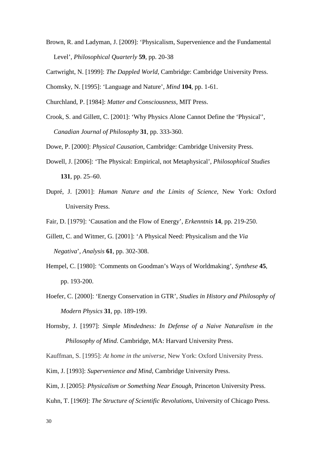Brown, R. and Ladyman, J. [2009]: 'Physicalism, Supervenience and the Fundamental Level', *Philosophical Quarterly* **59**, pp. 20-38

Cartwright, N. [1999]: *The Dappled World*, Cambridge: Cambridge University Press.

Chomsky, N. [1995]: 'Language and Nature', *Mind* **104**, pp. 1-61.

Churchland, P. [1984]: *Matter and Consciousness*, MIT Press.

Crook, S. and Gillett, C. [2001]: 'Why Physics Alone Cannot Define the 'Physical'', *Canadian Journal of Philosophy* **31**, pp. 333-360.

Dowe, P. [2000]: *Physical Causation*, Cambridge: Cambridge University Press.

- Dowell, J. [2006]: 'The Physical: Empirical, not Metaphysical', *Philosophical Studies* **131**, pp. 25–60.
- Dupré, J. [2001]: *Human Nature and the Limits of Science*, New York: Oxford University Press.
- Fair, D. [1979]: 'Causation and the Flow of Energy', *Erkenntnis* **14**, pp. 219-250.
- Gillett, C. and Witmer, G. [2001]: 'A Physical Need: Physicalism and the *Via Negativa*', *Analysis* **61**, pp. 302-308.
- Hempel, C. [1980]: 'Comments on Goodman's Ways of Worldmaking', *Synthese* **45**, pp. 193-200.
- Hoefer, C. [2000]: 'Energy Conservation in GTR', *Studies in History and Philosophy of Modern Physics* **31**, pp. 189-199.
- Hornsby, J. [1997]: *Simple Mindedness: In Defense of a Naive Naturalism in the Philosophy of Mind*. Cambridge, MA: Harvard University Press.

Kauffman, S. [1995]: *At home in the universe*, New York: Oxford University Press.

Kim, J. [1993]: *Supervenience and Mind*, Cambridge University Press.

Kim, J. [2005]: *Physicalism or Something Near Enough*, Princeton University Press.

Kuhn, T. [1969]: *The Structure of Scientific Revolutions*, University of Chicago Press.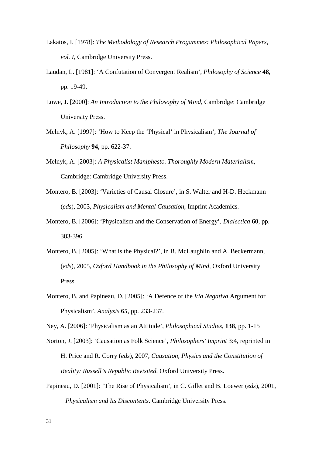- Lakatos, I. [1978]: *The Methodology of Research Progammes: Philosophical Papers, vol. I*, Cambridge University Press.
- Laudan, L. [1981]: 'A Confutation of Convergent Realism', *Philosophy of Science* **48**, pp. 19-49.
- Lowe, J. [2000]: *An Introduction to the Philosophy of Mind*, Cambridge: Cambridge University Press.
- Melnyk, A. [1997]: 'How to Keep the 'Physical' in Physicalism', *The Journal of Philosophy* **94**, pp. 622-37.
- Melnyk, A. [2003]: *A Physicalist Maniphesto. Thoroughly Modern Materialism*, Cambridge: Cambridge University Press.
- Montero, B. [2003]: 'Varieties of Causal Closure', in S. Walter and H-D. Heckmann (*eds*), 2003, *Physicalism and Mental Causation*, Imprint Academics.
- Montero, B. [2006]: 'Physicalism and the Conservation of Energy', *Dialectica* **60**, pp. 383-396.
- Montero, B. [2005]: 'What is the Physical?', in B. McLaughlin and A. Beckermann, (*eds*), 2005, *Oxford Handbook in the Philosophy of Mind*, Oxford University Press.
- Montero, B. and Papineau, D. [2005]: 'A Defence of the *Via Negativa* Argument for Physicalism', *Analysis* **65**, pp. 233-237.
- Ney, A. [2006]: 'Physicalism as an Attitude', *Philosophical Studies*, **138**, pp. 1-15
- Norton, J. [2003]: 'Causation as Folk Science', *Philosophers' Imprint* 3:4, reprinted in H. Price and R. Corry (*eds*), 2007, *Causation, Physics and the Constitution of Reality: Russell's Republic Revisited.* Oxford University Press.
- Papineau, D. [2001]: 'The Rise of Physicalism', in C. Gillet and B. Loewer (*eds*), 2001, *Physicalism and Its Discontents*. Cambridge University Press.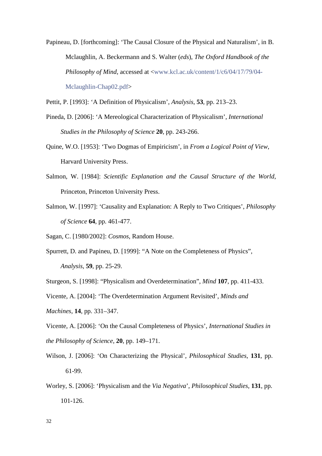Papineau, D. [forthcoming]: 'The Causal Closure of the Physical and Naturalism', in B. Mclaughlin, A. Beckermann and S. Walter (*eds*), *The Oxford Handbook of the Philosophy of Mind*, accessed at <www.kcl.ac.uk/content/1/c6/04/17/79/04- Mclaughlin-Chap02.pdf>

Pettit, P. [1993]: 'A Definition of Physicalism', *Analysis*, **53**, pp. 213–23.

- Pineda, D. [2006]: 'A Mereological Characterization of Physicalism', *International Studies in the Philosophy of Science* **20**, pp. 243-266.
- Quine, W.O. [1953]: 'Two Dogmas of Empiricism', in *From a Logical Point of View*, Harvard University Press.
- Salmon, W. [1984]: *Scientific Explanation and the Causal Structure of the World*, Princeton, Princeton University Press.
- Salmon, W. [1997]: 'Causality and Explanation: A Reply to Two Critiques', *Philosophy of Science* **64**, pp. 461-477.

Sagan, C. [1980/2002]: *Cosmos*, Random House.

- Spurrett, D. and Papineu, D. [1999]: "A Note on the Completeness of Physics", *Analysis*, **59**, pp. 25-29.
- Sturgeon, S. [1998]: "Physicalism and Overdetermination", *Mind* **107**, pp. 411-433.

Vicente, A. [2004]: 'The Overdetermination Argument Revisited', *Minds and* 

*Machines*, **14**, pp. 331–347.

Vicente, A. [2006]: 'On the Causal Completeness of Physics', *International Studies in the Philosophy of Science*, **20**, pp. 149–171.

- Wilson, J. [2006]: 'On Characterizing the Physical', *Philosophical Studies*, **131**, pp. 61-99.
- Worley, S. [2006]: 'Physicalism and the *Via Negativa*', *Philosophical Studies*, **131**, pp. 101-126.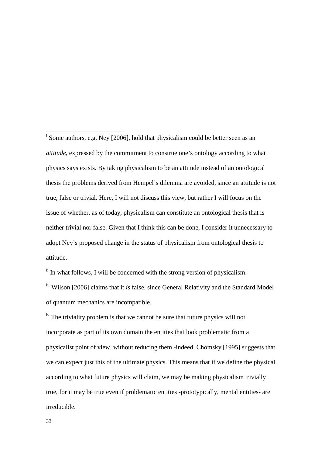<sup>i</sup> Some authors, e.g. Ney [2006], hold that physicalism could be better seen as an *attitude*, expressed by the commitment to construe one's ontology according to what physics says exists. By taking physicalism to be an attitude instead of an ontological thesis the problems derived from Hempel's dilemma are avoided, since an attitude is not true, false or trivial. Here, I will not discuss this view, but rather I will focus on the issue of whether, as of today, physicalism can constitute an ontological thesis that is neither trivial nor false. Given that I think this can be done, I consider it unnecessary to adopt Ney's proposed change in the status of physicalism from ontological thesis to attitude.

 $\mathbf{u}$  ii In what follows. I will be concerned with the strong version of physicalism. iii Wilson [2006] claims that it *is* false, since General Relativity and the Standard Model of quantum mechanics are incompatible.

 $\mathbf{u}^{\text{iv}}$  The triviality problem is that we cannot be sure that future physics will not incorporate as part of its own domain the entities that look problematic from a physicalist point of view, without reducing them -indeed, Chomsky [1995] suggests that we can expect just this of the ultimate physics. This means that if we define the physical according to what future physics will claim, we may be making physicalism trivially true, for it may be true even if problematic entities -prototypically, mental entities- are irreducible.

l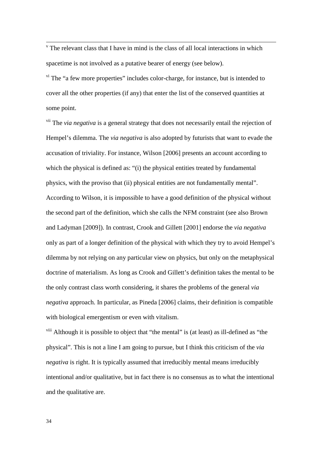<sup>v</sup> The relevant class that I have in mind is the class of all local interactions in which spacetime is not involved as a putative bearer of energy (see below).

<sup>vi</sup> The "a few more properties" includes color-charge, for instance, but is intended to cover all the other properties (if any) that enter the list of the conserved quantities at some point.

vii The *via negativa* is a general strategy that does not necessarily entail the rejection of Hempel's dilemma. The *via negativa* is also adopted by futurists that want to evade the accusation of triviality. For instance, Wilson [2006] presents an account according to which the physical is defined as: "(i) the physical entities treated by fundamental physics, with the proviso that (ii) physical entities are not fundamentally mental". According to Wilson, it is impossible to have a good definition of the physical without the second part of the definition, which she calls the NFM constraint (see also Brown and Ladyman [2009]). In contrast, Crook and Gillett [2001] endorse the *via negativa*  only as part of a longer definition of the physical with which they try to avoid Hempel's dilemma by not relying on any particular view on physics, but only on the metaphysical doctrine of materialism. As long as Crook and Gillett's definition takes the mental to be the only contrast class worth considering, it shares the problems of the general *via negativa* approach. In particular, as Pineda [2006] claims, their definition is compatible with biological emergentism or even with vitalism.

 $\frac{v}{v}$ <sup>viii</sup> Although it is possible to object that "the mental" is (at least) as ill-defined as "the physical". This is not a line I am going to pursue, but I think this criticism of the *via negativa* is right. It is typically assumed that irreducibly mental means irreducibly intentional and/or qualitative, but in fact there is no consensus as to what the intentional and the qualitative are.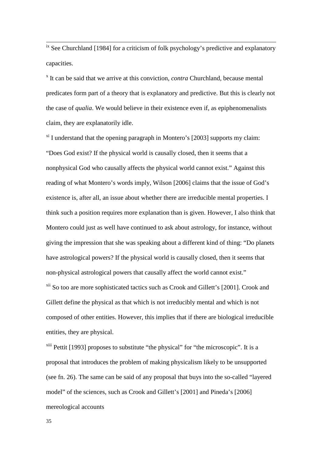$\frac{1}{x}$  See Churchland [1984] for a criticism of folk psychology's predictive and explanatory capacities.

x It can be said that we arrive at this conviction, *contra* Churchland, because mental predicates form part of a theory that is explanatory and predictive. But this is clearly not the case of *qualia*. We would believe in their existence even if, as epiphenomenalists claim, they are explanatorily idle.

 $x_i$ <sup>xi</sup> I understand that the opening paragraph in Montero's [2003] supports my claim: "Does God exist? If the physical world is causally closed, then it seems that a nonphysical God who causally affects the physical world cannot exist." Against this reading of what Montero's words imply, Wilson [2006] claims that the issue of God's existence is, after all, an issue about whether there are irreducible mental properties. I think such a position requires more explanation than is given. However, I also think that Montero could just as well have continued to ask about astrology, for instance, without giving the impression that she was speaking about a different kind of thing: "Do planets have astrological powers? If the physical world is causally closed, then it seems that non-physical astrological powers that causally affect the world cannot exist." xii So too are more sophisticated tactics such as Crook and Gillett's [2001]. Crook and Gillett define the physical as that which is not irreducibly mental and which is not composed of other entities. However, this implies that if there are biological irreducible entities, they are physical.

 $x$ <sup>xiii</sup> Pettit [1993] proposes to substitute "the physical" for "the microscopic". It is a proposal that introduces the problem of making physicalism likely to be unsupported (see fn. 26). The same can be said of any proposal that buys into the so-called "layered model" of the sciences, such as Crook and Gillett's [2001] and Pineda's [2006] mereological accounts

35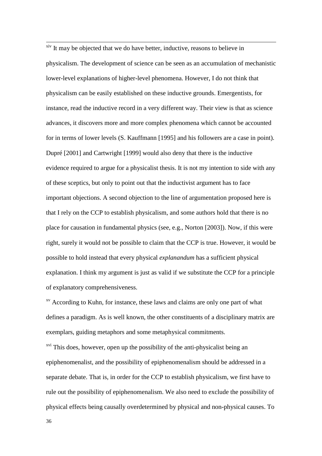$x<sub>iv</sub>$  It may be objected that we do have better, inductive, reasons to believe in physicalism. The development of science can be seen as an accumulation of mechanistic lower-level explanations of higher-level phenomena. However, I do not think that physicalism can be easily established on these inductive grounds. Emergentists, for instance, read the inductive record in a very different way. Their view is that as science advances, it discovers more and more complex phenomena which cannot be accounted for in terms of lower levels (S. Kauffmann [1995] and his followers are a case in point). Dupré [2001] and Cartwright [1999] would also deny that there is the inductive evidence required to argue for a physicalist thesis. It is not my intention to side with any of these sceptics, but only to point out that the inductivist argument has to face important objections. A second objection to the line of argumentation proposed here is that I rely on the CCP to establish physicalism, and some authors hold that there is no place for causation in fundamental physics (see, e.g., Norton [2003]). Now, if this were right, surely it would not be possible to claim that the CCP is true. However, it would be possible to hold instead that every physical *explanandum* has a sufficient physical explanation. I think my argument is just as valid if we substitute the CCP for a principle of explanatory comprehensiveness.

<sup>xv</sup> According to Kuhn, for instance, these laws and claims are only one part of what defines a paradigm. As is well known, the other constituents of a disciplinary matrix are exemplars, guiding metaphors and some metaphysical commitments.

 $xvi$  This does, however, open up the possibility of the anti-physicalist being an epiphenomenalist, and the possibility of epiphenomenalism should be addressed in a separate debate. That is, in order for the CCP to establish physicalism, we first have to rule out the possibility of epiphenomenalism. We also need to exclude the possibility of physical effects being causally overdetermined by physical and non-physical causes. To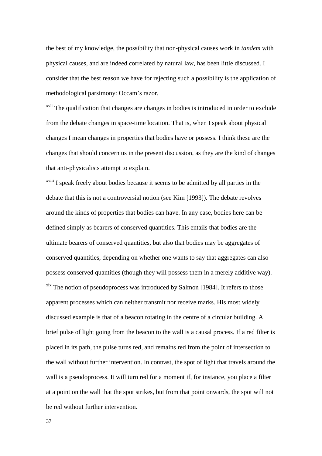the best of my knowledge, the possibility that non-physical causes work in *tandem* with physical causes, and are indeed correlated by natural law, has been little discussed. I consider that the best reason we have for rejecting such a possibility is the application of methodological parsimony: Occam's razor.

<sup>xvii</sup> The qualification that changes are changes in bodies is introduced in order to exclude from the debate changes in space-time location. That is, when I speak about physical changes I mean changes in properties that bodies have or possess. I think these are the changes that should concern us in the present discussion, as they are the kind of changes that anti-physicalists attempt to explain.

xviii I speak freely about bodies because it seems to be admitted by all parties in the debate that this is not a controversial notion (see Kim [1993]). The debate revolves around the kinds of properties that bodies can have. In any case, bodies here can be defined simply as bearers of conserved quantities. This entails that bodies are the ultimate bearers of conserved quantities, but also that bodies may be aggregates of conserved quantities, depending on whether one wants to say that aggregates can also possess conserved quantities (though they will possess them in a merely additive way).  $x$ <sup>ix</sup> The notion of pseudoprocess was introduced by Salmon [1984]. It refers to those apparent processes which can neither transmit nor receive marks. His most widely discussed example is that of a beacon rotating in the centre of a circular building. A brief pulse of light going from the beacon to the wall is a causal process. If a red filter is placed in its path, the pulse turns red, and remains red from the point of intersection to the wall without further intervention. In contrast, the spot of light that travels around the wall is a pseudoprocess. It will turn red for a moment if, for instance, you place a filter at a point on the wall that the spot strikes, but from that point onwards, the spot will not be red without further intervention.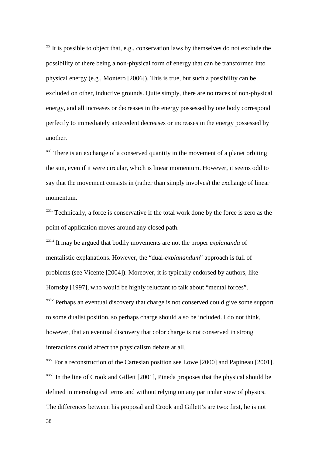$x^x$  It is possible to object that, e.g., conservation laws by themselves do not exclude the possibility of there being a non-physical form of energy that can be transformed into physical energy (e.g., Montero [2006]). This is true, but such a possibility can be excluded on other, inductive grounds. Quite simply, there are no traces of non-physical energy, and all increases or decreases in the energy possessed by one body correspond perfectly to immediately antecedent decreases or increases in the energy possessed by another.

<sup>xxi</sup> There is an exchange of a conserved quantity in the movement of a planet orbiting the sun, even if it were circular, which is linear momentum. However, it seems odd to say that the movement consists in (rather than simply involves) the exchange of linear momentum.

<sup>xxii</sup> Technically, a force is conservative if the total work done by the force is zero as the point of application moves around any closed path.

xxiii It may be argued that bodily movements are not the proper *explananda* of mentalistic explanations. However, the "dual-*explanandum*" approach is full of problems (see Vicente [2004]). Moreover, it is typically endorsed by authors, like Hornsby [1997], who would be highly reluctant to talk about "mental forces". <sup>xxiv</sup> Perhaps an eventual discovery that charge is not conserved could give some support to some dualist position, so perhaps charge should also be included. I do not think, however, that an eventual discovery that color charge is not conserved in strong interactions could affect the physicalism debate at all.

<sup>xxv</sup> For a reconstruction of the Cartesian position see Lowe [2000] and Papineau [2001]. <sup>xxvi</sup> In the line of Crook and Gillett [2001], Pineda proposes that the physical should be defined in mereological terms and without relying on any particular view of physics. The differences between his proposal and Crook and Gillett's are two: first, he is not